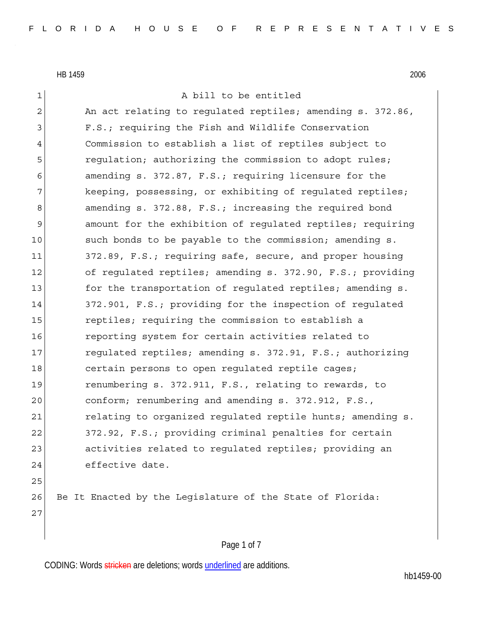# 1 a bill to be entitled 2 An act relating to regulated reptiles; amending s. 372.86, 3 F.S.; requiring the Fish and Wildlife Conservation 4 Commission to establish a list of reptiles subject to 5 5 regulation; authorizing the commission to adopt rules; 6 amending s. 372.87, F.S.; requiring licensure for the 7 keeping, possessing, or exhibiting of regulated reptiles; 8 amending s. 372.88, F.S.; increasing the required bond 9 amount for the exhibition of regulated reptiles; requiring 10 such bonds to be payable to the commission; amending s. 11 372.89, F.S.; requiring safe, secure, and proper housing 12 of requlated reptiles; amending s. 372.90, F.S.; providing 13 for the transportation of regulated reptiles; amending s. 14 372.901, F.S.; providing for the inspection of requlated 15 15 reptiles; requiring the commission to establish a 16 16 reporting system for certain activities related to 17 requlated reptiles; amending s. 372.91, F.S.; authorizing 18 certain persons to open requlated reptile cages; 19 renumbering s. 372.911, F.S., relating to rewards, to 20 conform; renumbering and amending s. 372.912, F.S., 21 relating to organized regulated reptile hunts; amending s. 22 372.92, F.S.; providing criminal penalties for certain 23 activities related to requlated reptiles; providing an 24 effective date. 25 26 Be It Enacted by the Legislature of the State of Florida: 27

### Page 1 of 7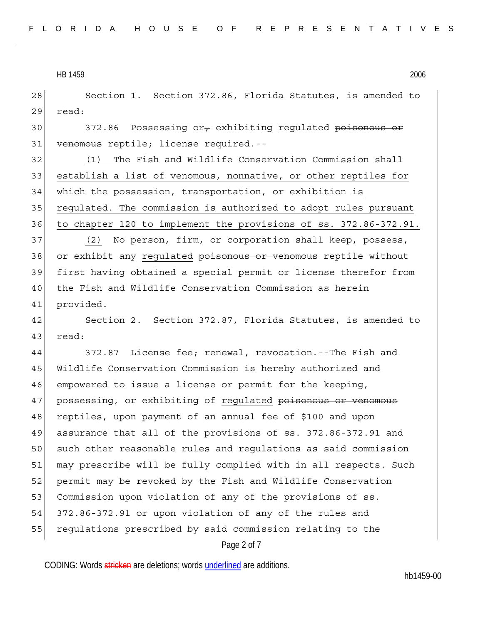28 Section 1. Section 372.86, Florida Statutes, is amended to 29 read:

30 372.86 Possessing or, exhibiting regulated poisonous or 31 venomous reptile; license required.--

32 (1) The Fish and Wildlife Conservation Commission shall 33 establish a list of venomous, nonnative, or other reptiles for 34 which the possession, transportation, or exhibition is 35 regulated. The commission is authorized to adopt rules pursuant 36 to chapter 120 to implement the provisions of ss. 372.86-372.91.

37 (2) No person, firm, or corporation shall keep, possess, 38 or exhibit any regulated poisonous or venomous reptile without 39 first having obtained a special permit or license therefor from 40 the Fish and Wildlife Conservation Commission as herein 41 provided.

42 Section 2. Section 372.87, Florida Statutes, is amended to 43 read:

44 372.87 License fee; renewal, revocation.--The Fish and 45 Wildlife Conservation Commission is hereby authorized and 46 empowered to issue a license or permit for the keeping, 47 possessing, or exhibiting of regulated poisonous or venomous 48 reptiles, upon payment of an annual fee of \$100 and upon 49 assurance that all of the provisions of ss. 372.86-372.91 and 50 such other reasonable rules and regulations as said commission 51 may prescribe will be fully complied with in all respects. Such 52 permit may be revoked by the Fish and Wildlife Conservation 53 Commission upon violation of any of the provisions of ss. 54 372.86-372.91 or upon violation of any of the rules and 55 regulations prescribed by said commission relating to the

#### Page 2 of 7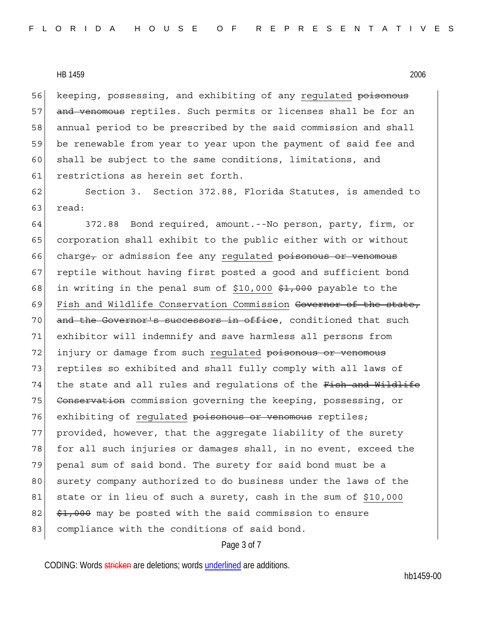56 keeping, possessing, and exhibiting of any requlated poisonous 57 and venomous reptiles. Such permits or licenses shall be for an 58 annual period to be prescribed by the said commission and shall 59 be renewable from year to year upon the payment of said fee and 60 shall be subject to the same conditions, limitations, and 61 restrictions as herein set forth.

62 Section 3. Section 372.88, Florida Statutes, is amended to 63 read:

64 372.88 Bond required, amount.--No person, party, firm, or 65 corporation shall exhibit to the public either with or without 66 charge, or admission fee any regulated poisonous or venomous 67 reptile without having first posted a good and sufficient bond 68 in writing in the penal sum of \$10,000  $\frac{1}{2}$ ,000 payable to the 69 Fish and Wildlife Conservation Commission Governor of the state, 70 and the Governor's successors in office, conditioned that such 71 exhibitor will indemnify and save harmless all persons from 72 injury or damage from such regulated poisonous or venomous 73 reptiles so exhibited and shall fully comply with all laws of 74 the state and all rules and regulations of the Fish and Wildlife 75 Conservation commission governing the keeping, possessing, or 76 exhibiting of regulated poisonous or venomous reptiles; 77 provided, however, that the aggregate liability of the surety 78 for all such injuries or damages shall, in no event, exceed the 79 penal sum of said bond. The surety for said bond must be a 80 surety company authorized to do business under the laws of the 81 state or in lieu of such a surety, cash in the sum of \$10,000  $82$   $\frac{$1,000}{1}$  may be posted with the said commission to ensure 83 compliance with the conditions of said bond.

#### Page 3 of 7

CODING: Words stricken are deletions; words underlined are additions.

hb1459-00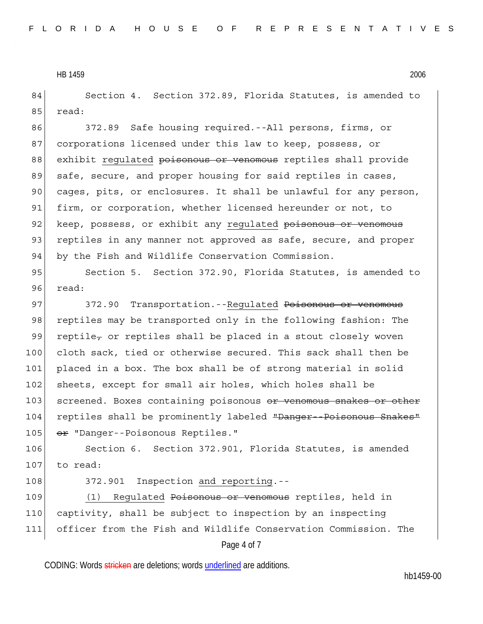84 Section 4. Section 372.89, Florida Statutes, is amended to 85 read:

86 372.89 Safe housing required.--All persons, firms, or 87 corporations licensed under this law to keep, possess, or 88 exhibit regulated poisonous or venomous reptiles shall provide 89 safe, secure, and proper housing for said reptiles in cases, 90 cages, pits, or enclosures. It shall be unlawful for any person, 91 firm, or corporation, whether licensed hereunder or not, to 92 keep, possess, or exhibit any regulated poisonous or venomous 93 reptiles in any manner not approved as safe, secure, and proper 94 by the Fish and Wildlife Conservation Commission.

95 Section 5. Section 372.90, Florida Statutes, is amended to 96 read:

97 372.90 Transportation. --Regulated Poisonous or venomous 98 reptiles may be transported only in the following fashion: The 99 reptile, or reptiles shall be placed in a stout closely woven 100 cloth sack, tied or otherwise secured. This sack shall then be 101 placed in a box. The box shall be of strong material in solid 102 sheets, except for small air holes, which holes shall be 103 screened. Boxes containing poisonous or venomous snakes or other 104 reptiles shall be prominently labeled "Danger--Poisonous Snakes" 105 or "Danger--Poisonous Reptiles."

106 Section 6. Section 372.901, Florida Statutes, is amended 107 to read:

108 372.901 Inspection and reporting.--

Page 4 of 7 109 (1) Regulated Poisonous or venomous reptiles, held in 110 captivity, shall be subject to inspection by an inspecting 111 officer from the Fish and Wildlife Conservation Commission. The

CODING: Words stricken are deletions; words underlined are additions.

hb1459-00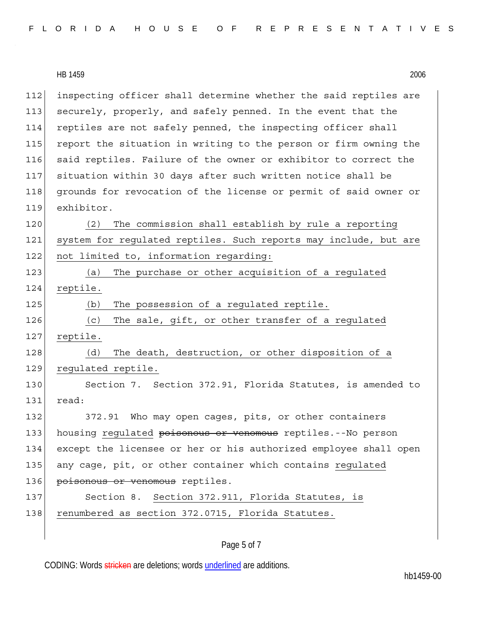|     | HB 1459<br>2006                                                  |
|-----|------------------------------------------------------------------|
| 112 | inspecting officer shall determine whether the said reptiles are |
| 113 | securely, properly, and safely penned. In the event that the     |
| 114 | reptiles are not safely penned, the inspecting officer shall     |
| 115 | report the situation in writing to the person or firm owning the |
| 116 | said reptiles. Failure of the owner or exhibitor to correct the  |
| 117 | situation within 30 days after such written notice shall be      |
| 118 | grounds for revocation of the license or permit of said owner or |
| 119 | exhibitor.                                                       |
| 120 | The commission shall establish by rule a reporting<br>(2)        |
| 121 | system for regulated reptiles. Such reports may include, but are |
| 122 | not limited to, information regarding:                           |
| 123 | The purchase or other acquisition of a regulated<br>(a)          |
| 124 | reptile.                                                         |
| 125 | The possession of a regulated reptile.<br>(b)                    |
| 126 | The sale, gift, or other transfer of a regulated<br>(c)          |
| 127 | reptile.                                                         |
| 128 | The death, destruction, or other disposition of a<br>(d)         |
| 129 | regulated reptile.                                               |
| 130 | Section 7. Section 372.91, Florida Statutes, is amended to       |
| 131 | read:                                                            |
| 132 | Who may open cages, pits, or other containers<br>372.91          |
| 133 | housing regulated poisonous or venomous reptiles.--No person     |
| 134 | except the licensee or her or his authorized employee shall open |
| 135 | any cage, pit, or other container which contains regulated       |
| 136 | poisonous or venomous reptiles.                                  |
| 137 | Section 8. Section 372.911, Florida Statutes, is                 |
| 138 | renumbered as section 372.0715, Florida Statutes.                |

## Page 5 of 7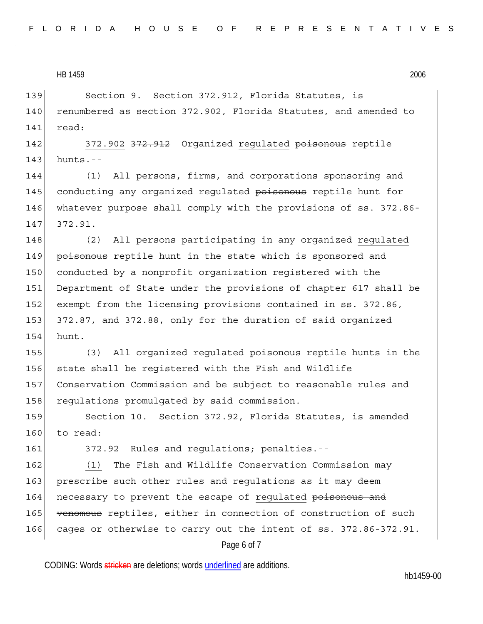139 Section 9. Section 372.912, Florida Statutes, is 140 renumbered as section 372.902, Florida Statutes, and amended to 141 read:

142 372.902 372.912 Organized regulated poisonous reptile  $143$  hunts.--

144 (1) All persons, firms, and corporations sponsoring and 145 conducting any organized regulated poisonous reptile hunt for 146 whatever purpose shall comply with the provisions of ss. 372.86- 147 372.91.

148 (2) All persons participating in any organized regulated 149 poisonous reptile hunt in the state which is sponsored and 150 conducted by a nonprofit organization registered with the 151 Department of State under the provisions of chapter 617 shall be 152 exempt from the licensing provisions contained in ss. 372.86, 153 372.87, and 372.88, only for the duration of said organized 154 hunt.

155 (3) All organized regulated poisonous reptile hunts in the 156 state shall be reqistered with the Fish and Wildlife 157 Conservation Commission and be subject to reasonable rules and 158 regulations promulgated by said commission.

159 Section 10. Section 372.92, Florida Statutes, is amended 160 to read:

161 372.92 Rules and regulations; penalties.--

162 (1) The Fish and Wildlife Conservation Commission may 163 prescribe such other rules and regulations as it may deem 164 necessary to prevent the escape of regulated poisonous and 165 venomous reptiles, either in connection of construction of such 166 cages or otherwise to carry out the intent of ss. 372.86-372.91.

Page 6 of 7

CODING: Words stricken are deletions; words underlined are additions.

hb1459-00